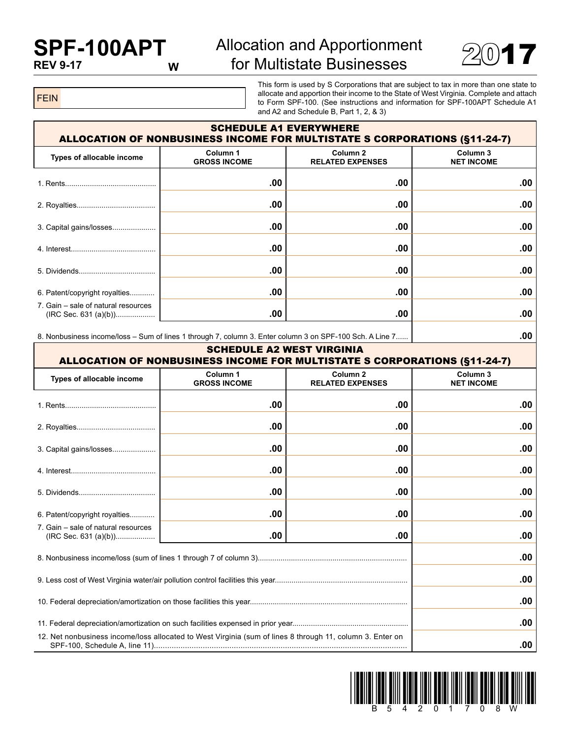## **SPF-100APT REV 9-17**

## Allocation and Apportionment for Multistate Businesses



FEIN

This form is used by S Corporations that are subject to tax in more than one state to allocate and apportion their income to the State of West Virginia. Complete and attach to Form SPF-100. (See instructions and information for SPF-100APT Schedule A1 and A2 and Schedule B, Part 1, 2, & 3)

| <b>SCHEDULE A1 EVERYWHERE</b><br><b>ALLOCATION OF NONBUSINESS INCOME FOR MULTISTATE S CORPORATIONS (§11-24-7)</b> |                                 |                                     |                               |  |  |
|-------------------------------------------------------------------------------------------------------------------|---------------------------------|-------------------------------------|-------------------------------|--|--|
| Types of allocable income                                                                                         | Column 1<br><b>GROSS INCOME</b> | Column 2<br><b>RELATED EXPENSES</b> | Column 3<br><b>NET INCOME</b> |  |  |
| 1. Rents                                                                                                          | .00                             | .00                                 | .00                           |  |  |
|                                                                                                                   | .00                             | .00                                 | .00                           |  |  |
| 3. Capital gains/losses                                                                                           | .00                             | .00                                 | .00                           |  |  |
|                                                                                                                   | .00                             | .00                                 | .00                           |  |  |
|                                                                                                                   | .00                             | .00                                 | .00.                          |  |  |
| 6. Patent/copyright royalties                                                                                     | .00                             | .00                                 | .00                           |  |  |
| 7. Gain – sale of natural resources                                                                               | .00                             | .00                                 | .00                           |  |  |

8. Nonbusiness income/loss – Sum of lines 1 through 7, column 3. Enter column 3 on SPF-100 Sch. A Line 7...... **.00**

| <b>SCHEDULE A2 WEST VIRGINIA</b><br><b>ALLOCATION OF NONBUSINESS INCOME FOR MULTISTATE S CORPORATIONS (§11-24-7)</b> |                                            |                                                |                               |  |
|----------------------------------------------------------------------------------------------------------------------|--------------------------------------------|------------------------------------------------|-------------------------------|--|
| Types of allocable income                                                                                            | Column <sub>1</sub><br><b>GROSS INCOME</b> | Column <sub>2</sub><br><b>RELATED EXPENSES</b> | Column 3<br><b>NET INCOME</b> |  |
|                                                                                                                      | .00                                        | .00                                            | .00                           |  |
|                                                                                                                      | .00                                        | .00                                            | .00                           |  |
| 3. Capital gains/losses                                                                                              | .00                                        | .00                                            | .00                           |  |
|                                                                                                                      | .00                                        | .00                                            | .00                           |  |
|                                                                                                                      | .00                                        | .00                                            | .00                           |  |
| 6. Patent/copyright royalties                                                                                        | .00                                        | .00                                            | .00                           |  |
| 7. Gain – sale of natural resources                                                                                  | .00                                        | .00                                            | .00                           |  |
|                                                                                                                      | .00                                        |                                                |                               |  |
|                                                                                                                      | .00                                        |                                                |                               |  |
|                                                                                                                      | .00                                        |                                                |                               |  |
|                                                                                                                      | .00                                        |                                                |                               |  |
| 12. Net nonbusiness income/loss allocated to West Virginia (sum of lines 8 through 11, column 3. Enter on            |                                            |                                                | .00                           |  |